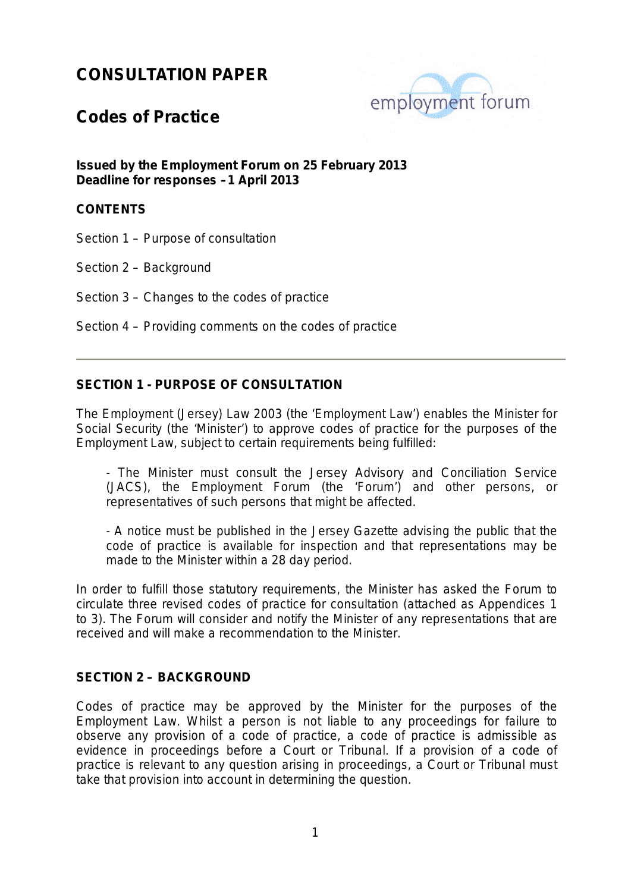

### **Codes of Practice**

**Issued by the Employment Forum on 25 February 2013 Deadline for responses –1 April 2013**

#### **CONTENTS**

Section 1 – Purpose of consultation

Section 2 – Background

Section 3 – Changes to the codes of practice

Section 4 – Providing comments on the codes of practice

#### **SECTION 1 - PURPOSE OF CONSULTATION**

The Employment (Jersey) Law 2003 (the 'Employment Law') enables the Minister for Social Security (the 'Minister') to approve codes of practice for the purposes of the Employment Law, subject to certain requirements being fulfilled:

- The Minister must consult the Jersey Advisory and Conciliation Service (JACS), the Employment Forum (the 'Forum') and other persons, or representatives of such persons that might be affected.

- A notice must be published in the Jersey Gazette advising the public that the code of practice is available for inspection and that representations may be made to the Minister within a 28 day period.

In order to fulfill those statutory requirements, the Minister has asked the Forum to circulate three revised codes of practice for consultation (attached as Appendices 1 to 3). The Forum will consider and notify the Minister of any representations that are received and will make a recommendation to the Minister.

#### **SECTION 2 – BACKGROUND**

<span id="page-0-0"></span>Codes of practice may be approved by the Minister for the purposes of the Employment Law. Whilst a person is not liable to any proceedings for failure to observe any provision of a code of practice, a code of practice is admissible as evidence in proceedings before a Court or Tribunal. If a provision of a code of practice is relevant to any question arising in proceedings, a Court or Tribunal must take that provision into account in determining the question.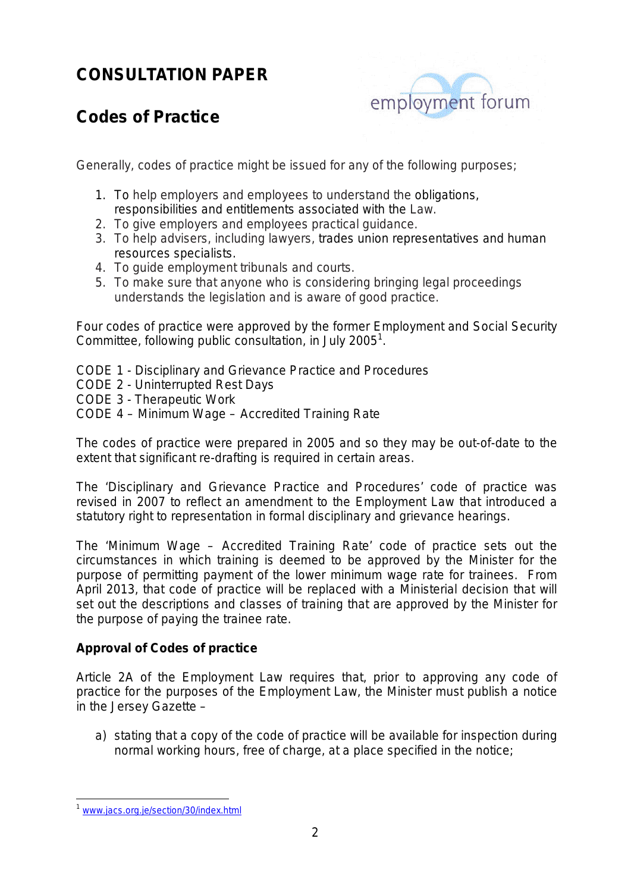

# **Codes of Practice**

Generally, codes of practice might be issued for any of the following purposes;

- 1. To help employers and employees to understand the obligations, responsibilities and entitlements associated with the Law.
- 2. To give employers and employees practical guidance.
- 3. To help advisers, including lawyers, trades union representatives and human resources specialists.
- 4. To guide employment tribunals and courts.
- 5. To make sure that anyone who is considering bringing legal proceedings understands the legislation and is aware of good practice.

Four codes of practice were approved by the former Employment and Social Security Committee, following public consultation, in July 2005<sup>[1](#page-0-0)</sup>.

- CODE 1 Disciplinary and Grievance Practice and Procedures
- CODE 2 Uninterrupted Rest Days
- CODE 3 Therapeutic Work
- CODE 4 Minimum Wage Accredited Training Rate

The codes of practice were prepared in 2005 and so they may be out-of-date to the extent that significant re-drafting is required in certain areas.

The 'Disciplinary and Grievance Practice and Procedures' code of practice was revised in 2007 to reflect an amendment to the Employment Law that introduced a statutory right to representation in formal disciplinary and grievance hearings.

The 'Minimum Wage – Accredited Training Rate' code of practice sets out the circumstances in which training is deemed to be approved by the Minister for the purpose of permitting payment of the lower minimum wage rate for trainees. From April 2013, that code of practice will be replaced with a Ministerial decision that will set out the descriptions and classes of training that are approved by the Minister for the purpose of paying the trainee rate.

#### **Approval of Codes of practice**

Article 2A of the Employment Law requires that, prior to approving any code of practice for the purposes of the Employment Law, the Minister must publish a notice in the Jersey Gazette –

a) stating that a copy of the code of practice will be available for inspection during normal working hours, free of charge, at a place specified in the notice;

<span id="page-1-0"></span>[www.jacs.org.je/section/30/index.html](http://www.jacs.org.je/section/30/index.html)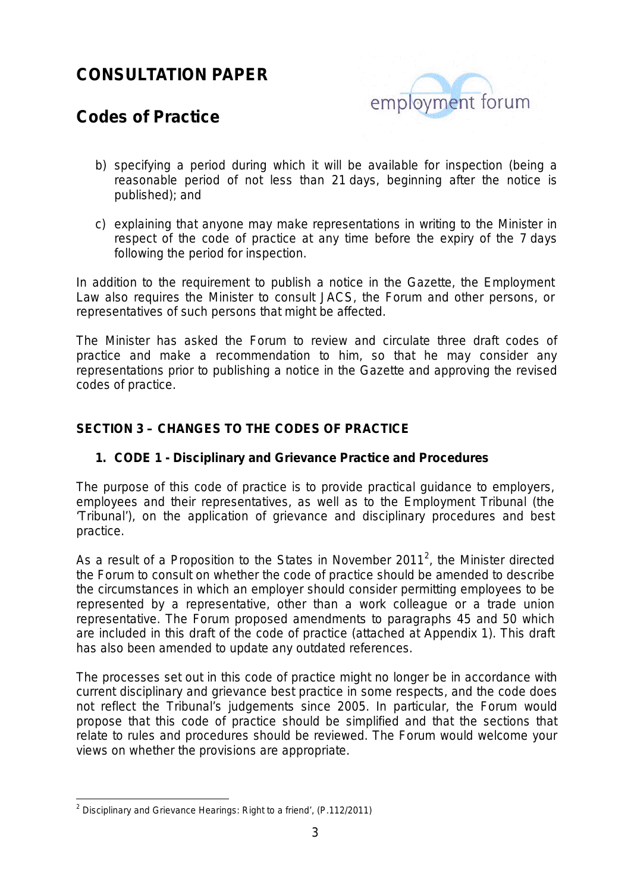

## **Codes of Practice**

- b) specifying a period during which it will be available for inspection (being a reasonable period of not less than 21 days, beginning after the notice is published); and
- c) explaining that anyone may make representations in writing to the Minister in respect of the code of practice at any time before the expiry of the 7 days following the period for inspection.

In addition to the requirement to publish a notice in the Gazette, the Employment Law also requires the Minister to consult JACS, the Forum and other persons, or representatives of such persons that might be affected.

The Minister has asked the Forum to review and circulate three draft codes of practice and make a recommendation to him, so that he may consider any representations prior to publishing a notice in the Gazette and approving the revised codes of practice.

#### **SECTION 3 – CHANGES TO THE CODES OF PRACTICE**

#### **1. CODE 1 - Disciplinary and Grievance Practice and Procedures**

The purpose of this code of practice is to provide practical guidance to employers, employees and their representatives, as well as to the Employment Tribunal (the 'Tribunal'), on the application of grievance and disciplinary procedures and best practice.

As a result of a Proposition to the States in November [2](#page-1-0)011<sup>2</sup>, the Minister directed the Forum to consult on whether the code of practice should be amended to describe the circumstances in which an employer should consider permitting employees to be represented by a representative, other than a work colleague or a trade union representative. The Forum proposed amendments to paragraphs 45 and 50 which are included in this draft of the code of practice (attached at Appendix 1). This draft has also been amended to update any outdated references.

The processes set out in this code of practice might no longer be in accordance with current disciplinary and grievance best practice in some respects, and the code does not reflect the Tribunal's judgements since 2005. In particular, the Forum would propose that this code of practice should be simplified and that the sections that relate to rules and procedures should be reviewed. The Forum would welcome your views on whether the provisions are appropriate.

<span id="page-2-0"></span><sup>&</sup>lt;sup>2</sup> Disciplinary and Grievance Hearings: Right to a friend', (P.112/2011)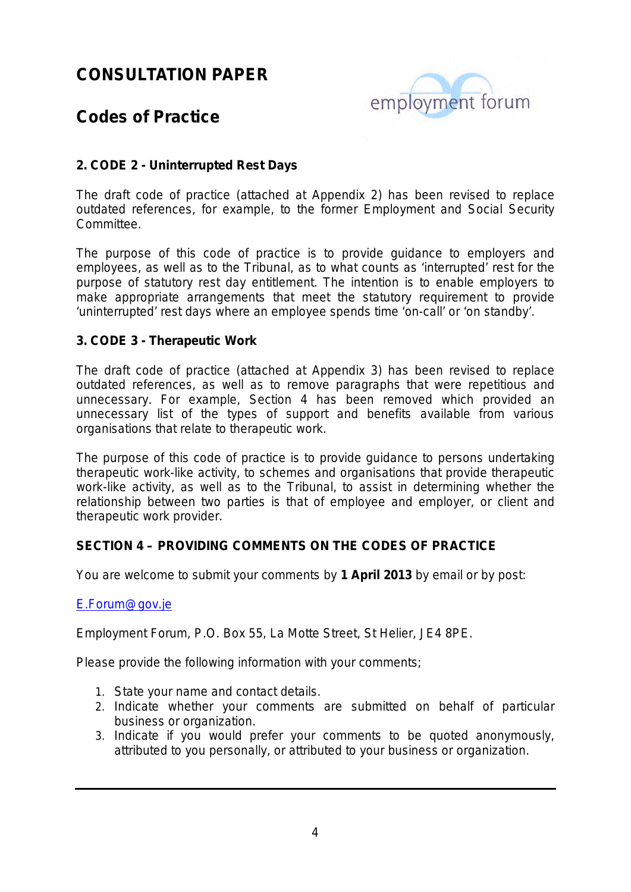

## **Codes of Practice**

#### **2. CODE 2 - Uninterrupted Rest Days**

The draft code of practice (attached at Appendix 2) has been revised to replace outdated references, for example, to the former Employment and Social Security Committee.

The purpose of this code of practice is to provide guidance to employers and employees, as well as to the Tribunal, as to what counts as 'interrupted' rest for the purpose of statutory rest day entitlement. The intention is to enable employers to make appropriate arrangements that meet the statutory requirement to provide 'uninterrupted' rest days where an employee spends time 'on-call' or 'on standby'.

#### **3. CODE 3 - Therapeutic Work**

The draft code of practice (attached at Appendix 3) has been revised to replace outdated references, as well as to remove paragraphs that were repetitious and unnecessary. For example, Section 4 has been removed which provided an unnecessary list of the types of support and benefits available from various organisations that relate to therapeutic work.

The purpose of this code of practice is to provide guidance to persons undertaking therapeutic work-like activity, to schemes and organisations that provide therapeutic work-like activity, as well as to the Tribunal, to assist in determining whether the relationship between two parties is that of employee and employer, or client and therapeutic work provider.

#### **SECTION 4 – PROVIDING COMMENTS ON THE CODES OF PRACTICE**

You are welcome to submit your comments by **1 April 2013** by email or by post:

#### [E.Forum@gov.je](mailto:E.Forum@gov.je)

Employment Forum, P.O. Box 55, La Motte Street, St Helier, JE4 8PE.

Please provide the following information with your comments;

- 1. State your name and contact details.
- 2. Indicate whether your comments are submitted on behalf of particular business or organization.
- 3. Indicate if you would prefer your comments to be quoted anonymously, attributed to you personally, or attributed to your business or organization.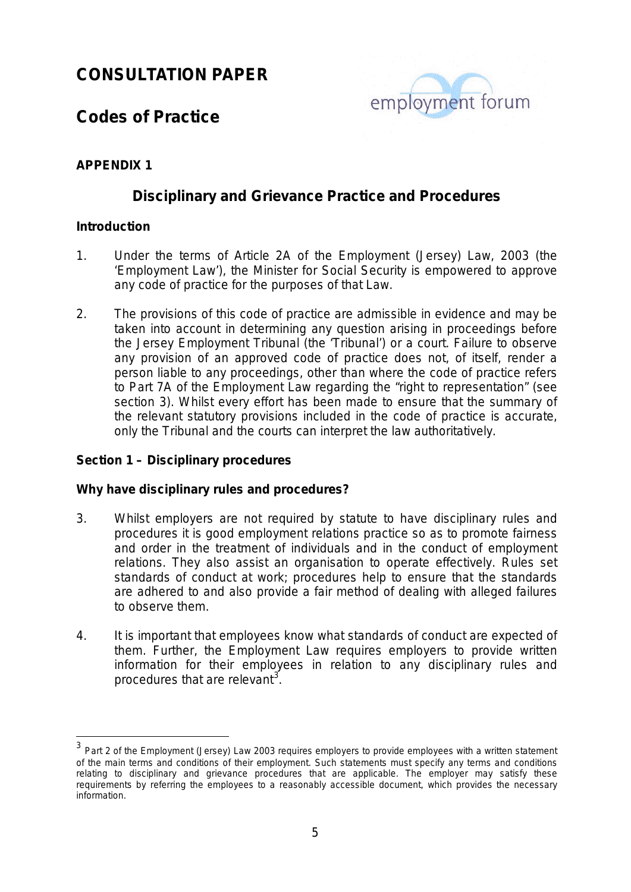

## **Codes of Practice**

#### **APPENDIX 1**

#### **Disciplinary and Grievance Practice and Procedures**

#### **Introduction**

- 1. Under the terms of Article 2A of the Employment (Jersey) Law, 2003 (the 'Employment Law'), the Minister for Social Security is empowered to approve any code of practice for the purposes of that Law.
- 2. The provisions of this code of practice are admissible in evidence and may be taken into account in determining any question arising in proceedings before the Jersey Employment Tribunal (the 'Tribunal') or a court. Failure to observe any provision of an approved code of practice does not, of itself, render a person liable to any proceedings, other than where the code of practice refers to Part 7A of the Employment Law regarding the "right to representation" (see section 3). Whilst every effort has been made to ensure that the summary of the relevant statutory provisions included in the code of practice is accurate, only the Tribunal and the courts can interpret the law authoritatively.

#### **Section 1 – Disciplinary procedures**

#### **Why have disciplinary rules and procedures?**

- 3. Whilst employers are not required by statute to have disciplinary rules and procedures it is good employment relations practice so as to promote fairness and order in the treatment of individuals and in the conduct of employment relations. They also assist an organisation to operate effectively. Rules set standards of conduct at work; procedures help to ensure that the standards are adhered to and also provide a fair method of dealing with alleged failures to observe them.
- 4. It is important that employees know what standards of conduct are expected of them. Further, the Employment Law requires employers to provide written information for their employees in relation to any disciplinary rules and procedures that are relevant*[3](#page-2-0) .*

<span id="page-4-0"></span><sup>&</sup>lt;sup>3</sup> Part 2 of the Employment (Jersey) Law 2003 requires employers to provide employees with a written statement of the main terms and conditions of their employment. Such statements must specify any terms and conditions relating to disciplinary and grievance procedures that are applicable. The employer may satisfy these requirements by referring the employees to a reasonably accessible document, which provides the necessary information.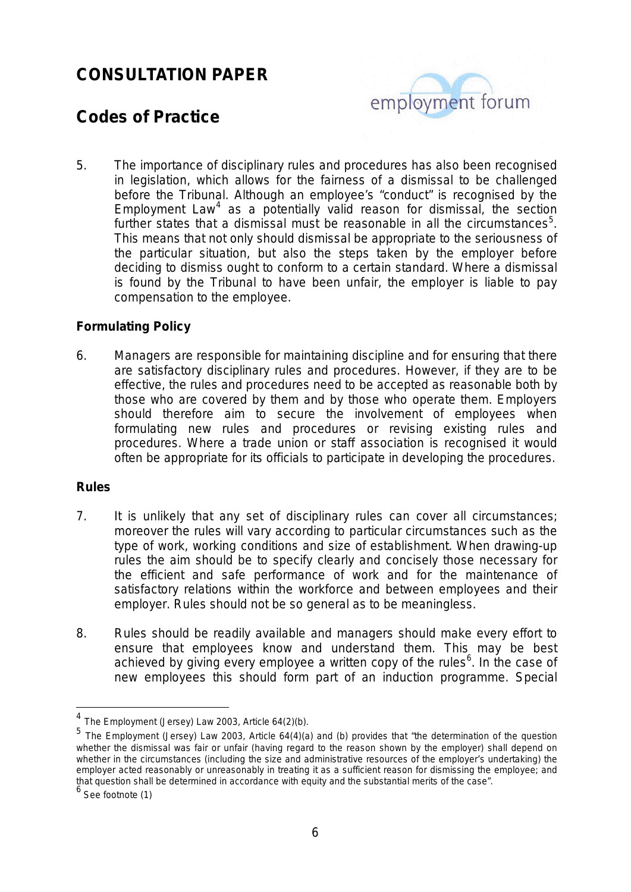

## **Codes of Practice**

5. The importance of disciplinary rules and procedures has also been recognised in legislation, which allows for the fairness of a dismissal to be challenged before the Tribunal. Although an employee's "conduct" is recognised by the Employment Law<sup>[4](#page-4-0)</sup> as a potentially valid reason for dismissal, the section further states that a dismissal must be reasonable in all the circumstances<sup>[5](#page-5-0)</sup>. This means that not only should dismissal be appropriate to the seriousness of the particular situation, but also the steps taken by the employer before deciding to dismiss ought to conform to a certain standard. Where a dismissal is found by the Tribunal to have been unfair, the employer is liable to pay compensation to the employee.

#### **Formulating Policy**

6. Managers are responsible for maintaining discipline and for ensuring that there are satisfactory disciplinary rules and procedures. However, if they are to be effective, the rules and procedures need to be accepted as reasonable both by those who are covered by them and by those who operate them. Employers should therefore aim to secure the involvement of employees when formulating new rules and procedures or revising existing rules and procedures. Where a trade union or staff association is recognised it would often be appropriate for its officials to participate in developing the procedures.

#### **Rules**

- 7. It is unlikely that any set of disciplinary rules can cover all circumstances; moreover the rules will vary according to particular circumstances such as the type of work, working conditions and size of establishment. When drawing-up rules the aim should be to specify clearly and concisely those necessary for the efficient and safe performance of work and for the maintenance of satisfactory relations within the workforce and between employees and their employer. Rules should not be so general as to be meaningless.
- 8. Rules should be readily available and managers should make every effort to ensure that employees know and understand them. This may be best achieved by giving every employee a written copy of the rules<sup>[6](#page-5-1)</sup>. In the case of new employees this should form part of an induction programme. Special

 <sup>4</sup> The Employment (Jersey) Law 2003, Article 64(2)(b).

<span id="page-5-0"></span><sup>5</sup> The Employment (Jersey) Law 2003, Article 64(4)(a) and (b) provides that "the determination of the question whether the dismissal was fair or unfair (having regard to the reason shown by the employer) shall depend on whether in the circumstances (including the size and administrative resources of the employer's undertaking) the employer acted reasonably or unreasonably in treating it as a sufficient reason for dismissing the employee; and that question shall be determined in accordance with equity and the substantial merits of the case".<br>  $6$  See footnote (1)

<span id="page-5-1"></span>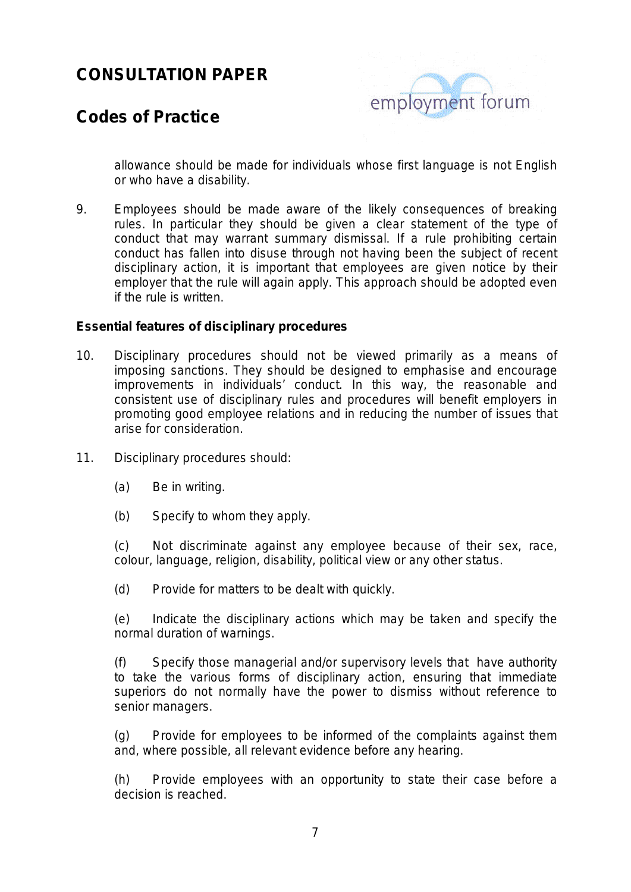

### **Codes of Practice**

allowance should be made for individuals whose first language is not English or who have a disability.

9. Employees should be made aware of the likely consequences of breaking rules. In particular they should be given a clear statement of the type of conduct that may warrant summary dismissal. If a rule prohibiting certain conduct has fallen into disuse through not having been the subject of recent disciplinary action, it is important that employees are given notice by their employer that the rule will again apply. This approach should be adopted even if the rule is written.

#### **Essential features of disciplinary procedures**

- 10. Disciplinary procedures should not be viewed primarily as a means of imposing sanctions. They should be designed to emphasise and encourage improvements in individuals' conduct. In this way, the reasonable and consistent use of disciplinary rules and procedures will benefit employers in promoting good employee relations and in reducing the number of issues that arise for consideration.
- 11. Disciplinary procedures should:
	- (a) Be in writing.
	- (b) Specify to whom they apply.

(c) Not discriminate against any employee because of their sex, race, colour, language, religion, disability, political view or any other status.

(d) Provide for matters to be dealt with quickly.

(e) Indicate the disciplinary actions which may be taken and specify the normal duration of warnings.

(f) Specify those managerial and/or supervisory levels that have authority to take the various forms of disciplinary action, ensuring that immediate superiors do not normally have the power to dismiss without reference to senior managers.

(g) Provide for employees to be informed of the complaints against them and, where possible, all relevant evidence before any hearing.

(h) Provide employees with an opportunity to state their case before a decision is reached.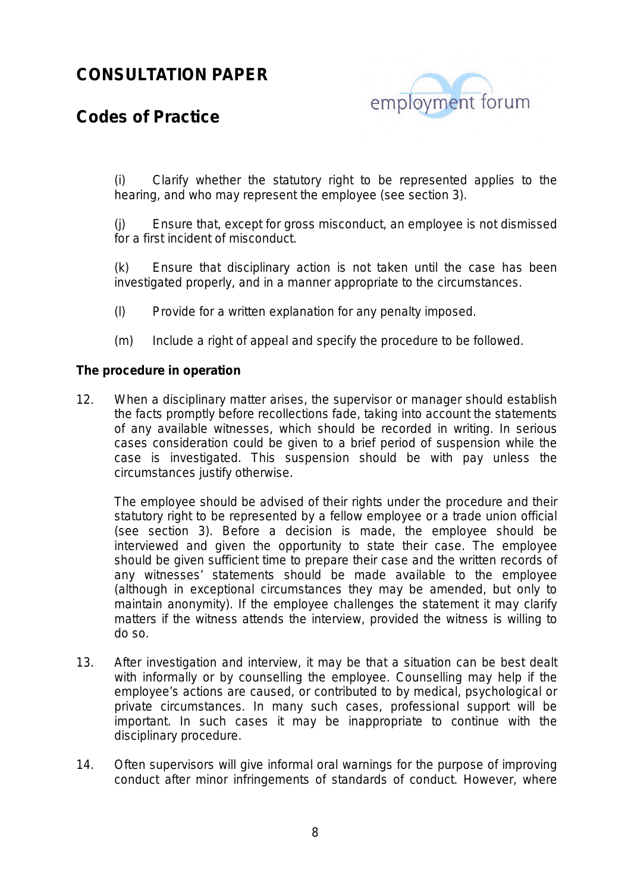

### **Codes of Practice**

(i) Clarify whether the statutory right to be represented applies to the hearing, and who may represent the employee (see section 3).

(j) Ensure that, except for gross misconduct, an employee is not dismissed for a first incident of misconduct.

(k) Ensure that disciplinary action is not taken until the case has been investigated properly, and in a manner appropriate to the circumstances.

- (l) Provide for a written explanation for any penalty imposed.
- (m) Include a right of appeal and specify the procedure to be followed.

#### **The procedure in operation**

12. When a disciplinary matter arises, the supervisor or manager should establish the facts promptly before recollections fade, taking into account the statements of any available witnesses, which should be recorded in writing. In serious cases consideration could be given to a brief period of suspension while the case is investigated. This suspension should be with pay unless the circumstances justify otherwise.

The employee should be advised of their rights under the procedure and their statutory right to be represented by a fellow employee or a trade union official (see section 3). Before a decision is made, the employee should be interviewed and given the opportunity to state their case. The employee should be given sufficient time to prepare their case and the written records of any witnesses' statements should be made available to the employee (although in exceptional circumstances they may be amended, but only to maintain anonymity). If the employee challenges the statement it may clarify matters if the witness attends the interview, provided the witness is willing to do so.

- 13. After investigation and interview, it may be that a situation can be best dealt with informally or by counselling the employee. Counselling may help if the employee's actions are caused, or contributed to by medical, psychological or private circumstances. In many such cases, professional support will be important. In such cases it may be inappropriate to continue with the disciplinary procedure.
- 14. Often supervisors will give informal oral warnings for the purpose of improving conduct after minor infringements of standards of conduct. However, where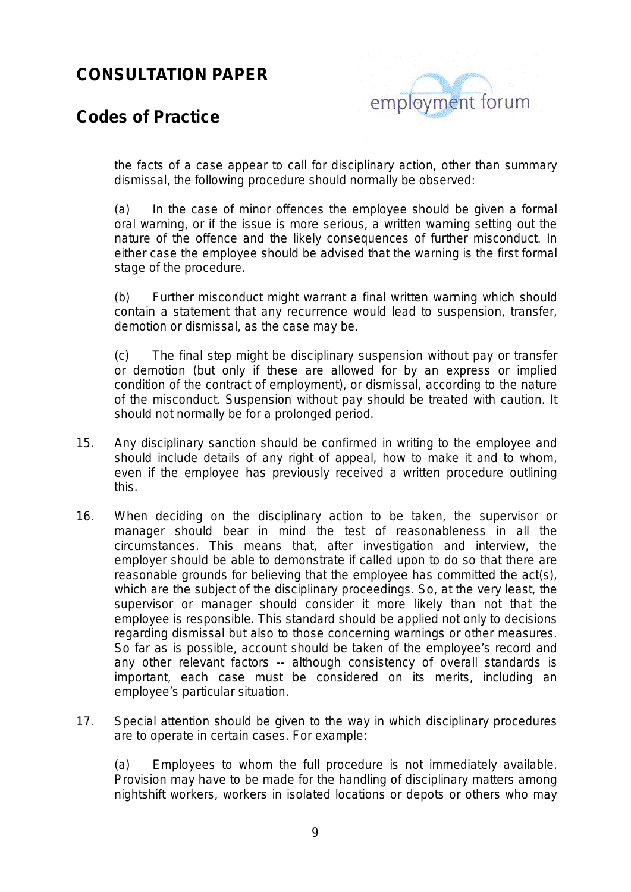

### **Codes of Practice**

the facts of a case appear to call for disciplinary action, other than summary dismissal, the following procedure should normally be observed:

(a) In the case of minor offences the employee should be given a formal oral warning, or if the issue is more serious, a written warning setting out the nature of the offence and the likely consequences of further misconduct. In either case the employee should be advised that the warning is the first formal stage of the procedure.

(b) Further misconduct might warrant a final written warning which should contain a statement that any recurrence would lead to suspension, transfer, demotion or dismissal, as the case may be.

(c) The final step might be disciplinary suspension without pay or transfer or demotion (but only if these are allowed for by an express or implied condition of the contract of employment), or dismissal, according to the nature of the misconduct. Suspension without pay should be treated with caution. It should not normally be for a prolonged period.

- 15. Any disciplinary sanction should be confirmed in writing to the employee and should include details of any right of appeal, how to make it and to whom, even if the employee has previously received a written procedure outlining this.
- 16. When deciding on the disciplinary action to be taken, the supervisor or manager should bear in mind the test of reasonableness in all the circumstances. This means that, after investigation and interview, the employer should be able to demonstrate if called upon to do so that there are reasonable grounds for believing that the employee has committed the act(s), which are the subject of the disciplinary proceedings. So, at the very least, the supervisor or manager should consider it more likely than not that the employee is responsible. This standard should be applied not only to decisions regarding dismissal but also to those concerning warnings or other measures. So far as is possible, account should be taken of the employee's record and any other relevant factors -- although consistency of overall standards is important, each case must be considered on its merits, including an employee's particular situation.
- 17. Special attention should be given to the way in which disciplinary procedures are to operate in certain cases. For example:

(a) Employees to whom the full procedure is not immediately available. Provision may have to be made for the handling of disciplinary matters among nightshift workers, workers in isolated locations or depots or others who may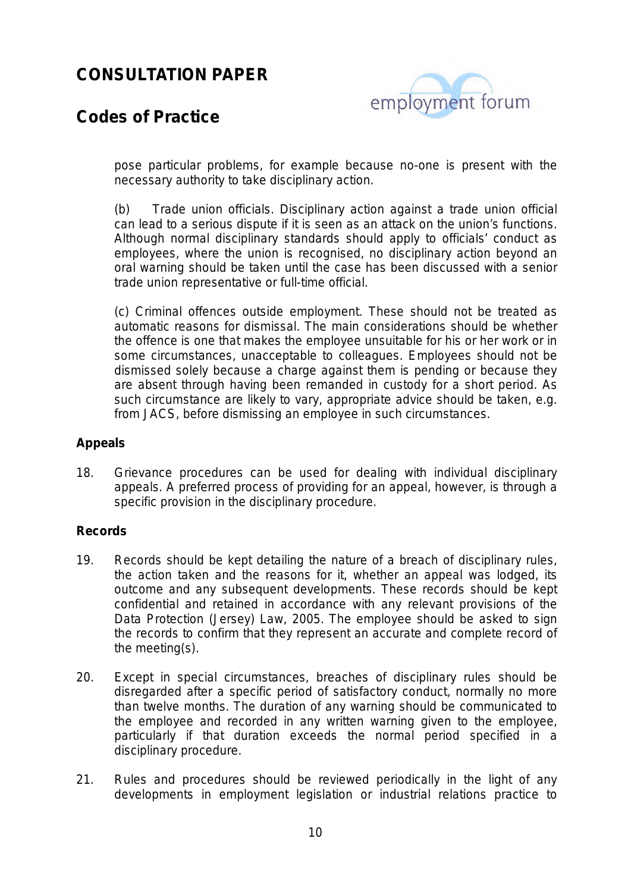

### **Codes of Practice**

pose particular problems, for example because no-one is present with the necessary authority to take disciplinary action.

(b) Trade union officials. Disciplinary action against a trade union official can lead to a serious dispute if it is seen as an attack on the union's functions. Although normal disciplinary standards should apply to officials' conduct as employees, where the union is recognised, no disciplinary action beyond an oral warning should be taken until the case has been discussed with a senior trade union representative or full-time official.

(c) Criminal offences outside employment. These should not be treated as automatic reasons for dismissal. The main considerations should be whether the offence is one that makes the employee unsuitable for his or her work or in some circumstances, unacceptable to colleagues. Employees should not be dismissed solely because a charge against them is pending or because they are absent through having been remanded in custody for a short period. As such circumstance are likely to vary, appropriate advice should be taken, e.g. from JACS, before dismissing an employee in such circumstances.

#### **Appeals**

18. Grievance procedures can be used for dealing with individual disciplinary appeals. A preferred process of providing for an appeal, however, is through a specific provision in the disciplinary procedure.

#### **Records**

- 19. Records should be kept detailing the nature of a breach of disciplinary rules, the action taken and the reasons for it, whether an appeal was lodged, its outcome and any subsequent developments. These records should be kept confidential and retained in accordance with any relevant provisions of the Data Protection (Jersey) Law, 2005. The employee should be asked to sign the records to confirm that they represent an accurate and complete record of the meeting(s).
- 20. Except in special circumstances, breaches of disciplinary rules should be disregarded after a specific period of satisfactory conduct, normally no more than twelve months. The duration of any warning should be communicated to the employee and recorded in any written warning given to the employee, particularly if that duration exceeds the normal period specified in a disciplinary procedure.
- 21. Rules and procedures should be reviewed periodically in the light of any developments in employment legislation or industrial relations practice to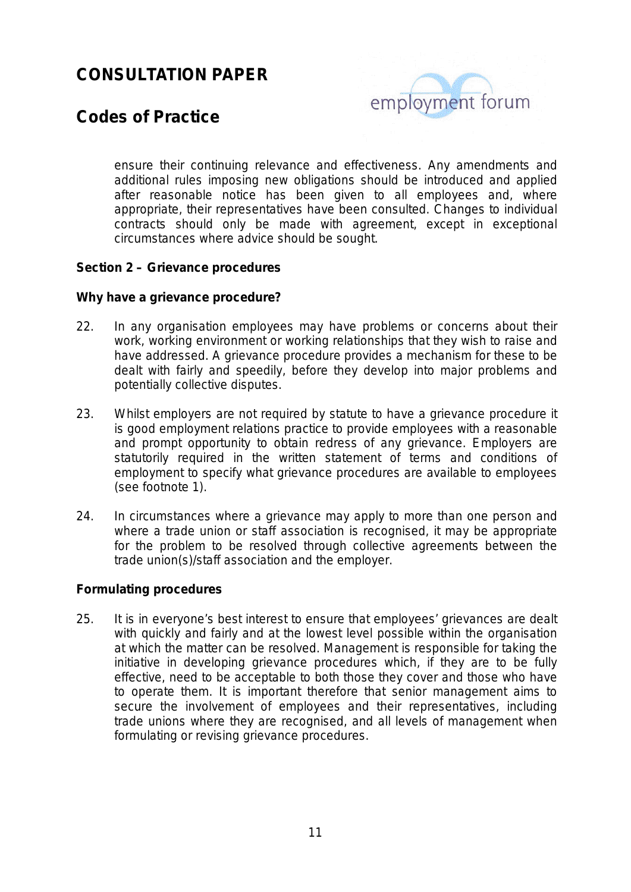

### **Codes of Practice**

ensure their continuing relevance and effectiveness. Any amendments and additional rules imposing new obligations should be introduced and applied after reasonable notice has been given to all employees and, where appropriate, their representatives have been consulted. Changes to individual contracts should only be made with agreement, except in exceptional circumstances where advice should be sought.

#### **Section 2 – Grievance procedures**

#### **Why have a grievance procedure?**

- 22. In any organisation employees may have problems or concerns about their work, working environment or working relationships that they wish to raise and have addressed. A grievance procedure provides a mechanism for these to be dealt with fairly and speedily, before they develop into major problems and potentially collective disputes.
- 23. Whilst employers are not required by statute to have a grievance procedure it is good employment relations practice to provide employees with a reasonable and prompt opportunity to obtain redress of any grievance. Employers are statutorily required in the written statement of terms and conditions of employment to specify what grievance procedures are available to employees (see footnote 1)*.*
- 24. In circumstances where a grievance may apply to more than one person and where a trade union or staff association is recognised, it may be appropriate for the problem to be resolved through collective agreements between the trade union(s)/staff association and the employer.

#### **Formulating procedures**

25. It is in everyone's best interest to ensure that employees' grievances are dealt with quickly and fairly and at the lowest level possible within the organisation at which the matter can be resolved. Management is responsible for taking the initiative in developing grievance procedures which, if they are to be fully effective, need to be acceptable to both those they cover and those who have to operate them. It is important therefore that senior management aims to secure the involvement of employees and their representatives, including trade unions where they are recognised, and all levels of management when formulating or revising grievance procedures.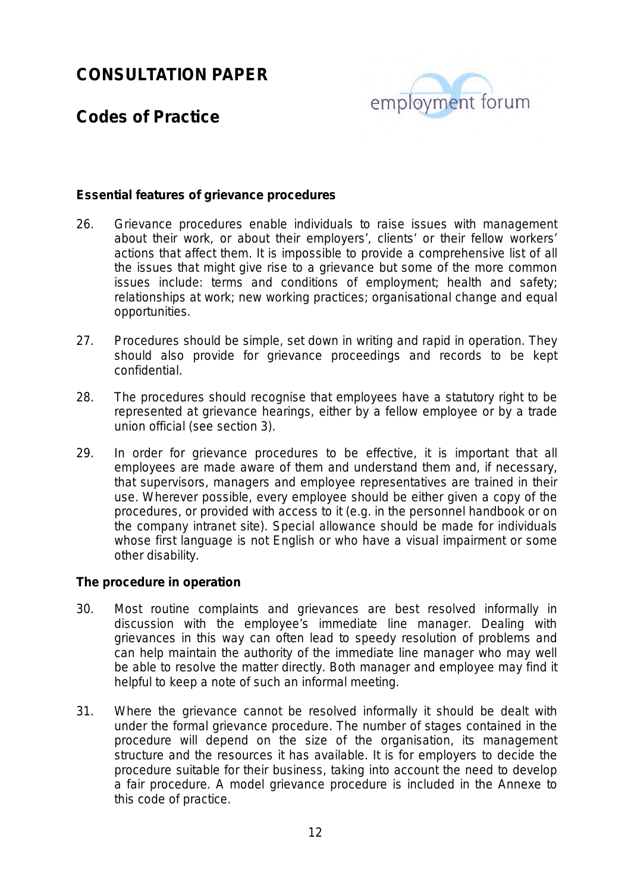

### **Codes of Practice**

#### **Essential features of grievance procedures**

- 26. Grievance procedures enable individuals to raise issues with management about their work, or about their employers', clients' or their fellow workers' actions that affect them. It is impossible to provide a comprehensive list of all the issues that might give rise to a grievance but some of the more common issues include: terms and conditions of employment; health and safety; relationships at work; new working practices; organisational change and equal opportunities.
- 27. Procedures should be simple, set down in writing and rapid in operation. They should also provide for grievance proceedings and records to be kept confidential.
- 28. The procedures should recognise that employees have a statutory right to be represented at grievance hearings, either by a fellow employee or by a trade union official (see section 3).
- 29. In order for grievance procedures to be effective, it is important that all employees are made aware of them and understand them and, if necessary, that supervisors, managers and employee representatives are trained in their use. Wherever possible, every employee should be either given a copy of the procedures, or provided with access to it (e.g. in the personnel handbook or on the company intranet site). Special allowance should be made for individuals whose first language is not English or who have a visual impairment or some other disability.

#### **The procedure in operation**

- 30. Most routine complaints and grievances are best resolved informally in discussion with the employee's immediate line manager. Dealing with grievances in this way can often lead to speedy resolution of problems and can help maintain the authority of the immediate line manager who may well be able to resolve the matter directly. Both manager and employee may find it helpful to keep a note of such an informal meeting.
- 31. Where the grievance cannot be resolved informally it should be dealt with under the formal grievance procedure. The number of stages contained in the procedure will depend on the size of the organisation, its management structure and the resources it has available. It is for employers to decide the procedure suitable for their business, taking into account the need to develop a fair procedure. A model grievance procedure is included in the Annexe to this code of practice.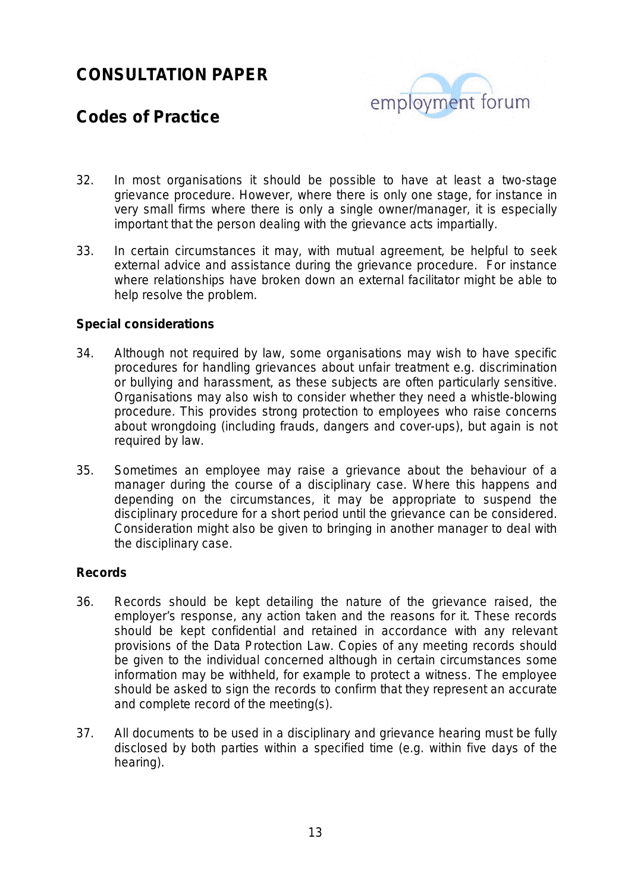

### **Codes of Practice**

- 32. In most organisations it should be possible to have at least a two-stage grievance procedure. However, where there is only one stage, for instance in very small firms where there is only a single owner/manager, it is especially important that the person dealing with the grievance acts impartially.
- 33. In certain circumstances it may, with mutual agreement, be helpful to seek external advice and assistance during the grievance procedure. For instance where relationships have broken down an external facilitator might be able to help resolve the problem.

#### **Special considerations**

- 34. Although not required by law, some organisations may wish to have specific procedures for handling grievances about unfair treatment e.g. discrimination or bullying and harassment, as these subjects are often particularly sensitive. Organisations may also wish to consider whether they need a whistle-blowing procedure. This provides strong protection to employees who raise concerns about wrongdoing (including frauds, dangers and cover-ups), but again is not required by law.
- 35. Sometimes an employee may raise a grievance about the behaviour of a manager during the course of a disciplinary case. Where this happens and depending on the circumstances, it may be appropriate to suspend the disciplinary procedure for a short period until the grievance can be considered. Consideration might also be given to bringing in another manager to deal with the disciplinary case.

#### **Records**

- 36. Records should be kept detailing the nature of the grievance raised, the employer's response, any action taken and the reasons for it. These records should be kept confidential and retained in accordance with any relevant provisions of the Data Protection Law. Copies of any meeting records should be given to the individual concerned although in certain circumstances some information may be withheld, for example to protect a witness. The employee should be asked to sign the records to confirm that they represent an accurate and complete record of the meeting(s).
- 37. All documents to be used in a disciplinary and grievance hearing must be fully disclosed by both parties within a specified time (e.g. within five days of the hearing).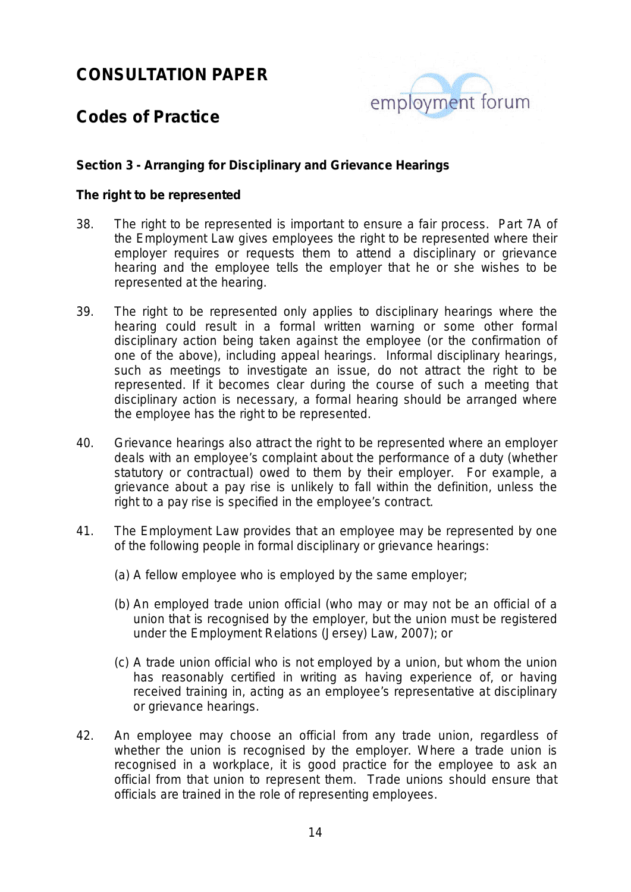

### **Codes of Practice**

#### **Section 3 - Arranging for Disciplinary and Grievance Hearings**

#### **The right to be represented**

- 38. The right to be represented is important to ensure a fair process. Part 7A of the Employment Law gives employees the right to be represented where their employer requires or requests them to attend a disciplinary or grievance hearing and the employee tells the employer that he or she wishes to be represented at the hearing.
- 39. The right to be represented only applies to disciplinary hearings where the hearing could result in a formal written warning or some other formal disciplinary action being taken against the employee (or the confirmation of one of the above), including appeal hearings. Informal disciplinary hearings, such as meetings to investigate an issue, do not attract the right to be represented. If it becomes clear during the course of such a meeting that disciplinary action is necessary, a formal hearing should be arranged where the employee has the right to be represented.
- 40. Grievance hearings also attract the right to be represented where an employer deals with an employee's complaint about the performance of a duty (whether statutory or contractual) owed to them by their employer. For example, a grievance about a pay rise is unlikely to fall within the definition, unless the right to a pay rise is specified in the employee's contract.
- 41. The Employment Law provides that an employee may be represented by one of the following people in formal disciplinary or grievance hearings:
	- (a) A fellow employee who is employed by the same employer;
	- (b) An employed trade union official (who may or may not be an official of a union that is recognised by the employer, but the union must be registered under the Employment Relations (Jersey) Law, 2007); or
	- (c) A trade union official who is not employed by a union, but whom the union has reasonably certified in writing as having experience of, or having received training in, acting as an employee's representative at disciplinary or grievance hearings.
- 42. An employee may choose an official from any trade union, regardless of whether the union is recognised by the employer. Where a trade union is recognised in a workplace, it is good practice for the employee to ask an official from that union to represent them. Trade unions should ensure that officials are trained in the role of representing employees.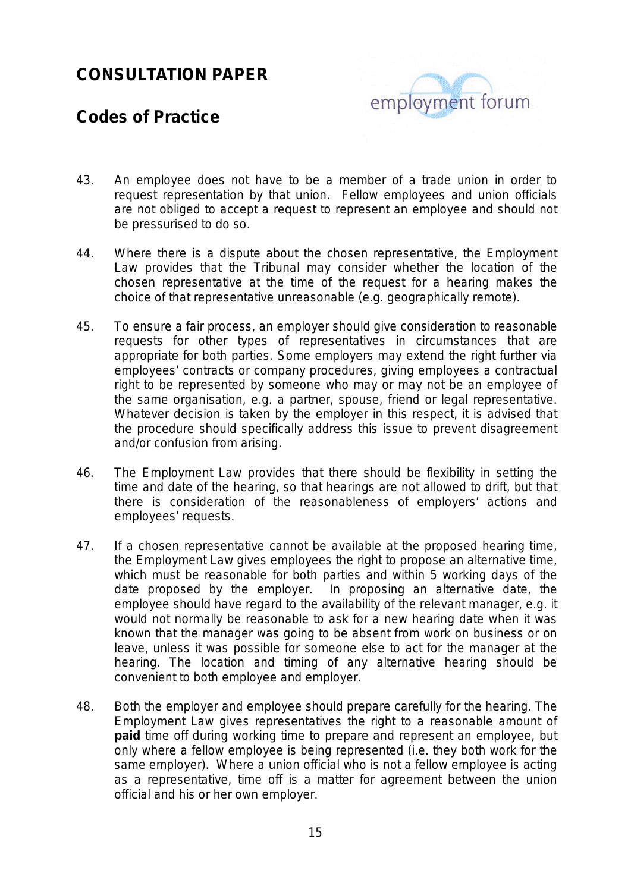

### **Codes of Practice**

- 43. An employee does not have to be a member of a trade union in order to request representation by that union. Fellow employees and union officials are not obliged to accept a request to represent an employee and should not be pressurised to do so.
- 44. Where there is a dispute about the chosen representative, the Employment Law provides that the Tribunal may consider whether the location of the chosen representative at the time of the request for a hearing makes the choice of that representative unreasonable (e.g. geographically remote).
- 45. To ensure a fair process, an employer should give consideration to reasonable requests for other types of representatives in circumstances that are appropriate for both parties. Some employers may extend the right further via employees' contracts or company procedures, giving employees a contractual right to be represented by someone who may or may not be an employee of the same organisation, e.g. a partner, spouse, friend or legal representative. Whatever decision is taken by the employer in this respect, it is advised that the procedure should specifically address this issue to prevent disagreement and/or confusion from arising.
- 46. The Employment Law provides that there should be flexibility in setting the time and date of the hearing, so that hearings are not allowed to drift, but that there is consideration of the reasonableness of employers' actions and employees' requests.
- 47. If a chosen representative cannot be available at the proposed hearing time, the Employment Law gives employees the right to propose an alternative time, which must be reasonable for both parties and within 5 working days of the date proposed by the employer. In proposing an alternative date, the employee should have regard to the availability of the relevant manager, e.g. it would not normally be reasonable to ask for a new hearing date when it was known that the manager was going to be absent from work on business or on leave, unless it was possible for someone else to act for the manager at the hearing. The location and timing of any alternative hearing should be convenient to both employee and employer.
- 48. Both the employer and employee should prepare carefully for the hearing. The Employment Law gives representatives the right to a reasonable amount of **paid** time off during working time to prepare and represent an employee, but only where a fellow employee is being represented (i.e. they both work for the same employer). Where a union official who is not a fellow employee is acting as a representative, time off is a matter for agreement between the union official and his or her own employer.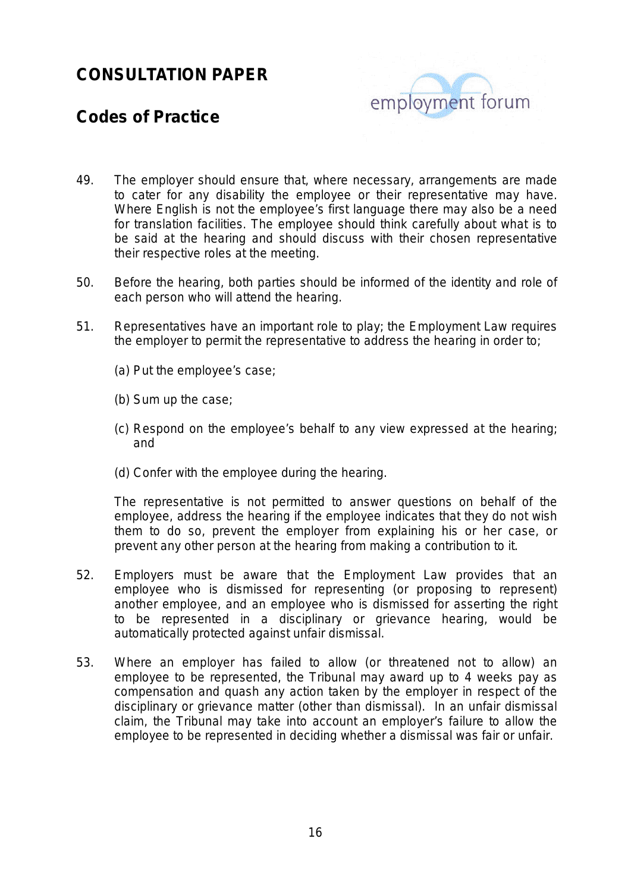

### **Codes of Practice**

- 49. The employer should ensure that, where necessary, arrangements are made to cater for any disability the employee or their representative may have. Where English is not the employee's first language there may also be a need for translation facilities. The employee should think carefully about what is to be said at the hearing and should discuss with their chosen representative their respective roles at the meeting.
- 50. Before the hearing, both parties should be informed of the identity and role of each person who will attend the hearing.
- 51. Representatives have an important role to play; the Employment Law requires the employer to permit the representative to address the hearing in order to;
	- (a) Put the employee's case;
	- (b) Sum up the case;
	- (c) Respond on the employee's behalf to any view expressed at the hearing; and
	- (d) Confer with the employee during the hearing.

The representative is not permitted to answer questions on behalf of the employee, address the hearing if the employee indicates that they do not wish them to do so, prevent the employer from explaining his or her case, or prevent any other person at the hearing from making a contribution to it.

- 52. Employers must be aware that the Employment Law provides that an employee who is dismissed for representing (or proposing to represent) another employee, and an employee who is dismissed for asserting the right to be represented in a disciplinary or grievance hearing, would be automatically protected against unfair dismissal.
- 53. Where an employer has failed to allow (or threatened not to allow) an employee to be represented, the Tribunal may award up to 4 weeks pay as compensation and quash any action taken by the employer in respect of the disciplinary or grievance matter (other than dismissal). In an unfair dismissal claim, the Tribunal may take into account an employer's failure to allow the employee to be represented in deciding whether a dismissal was fair or unfair.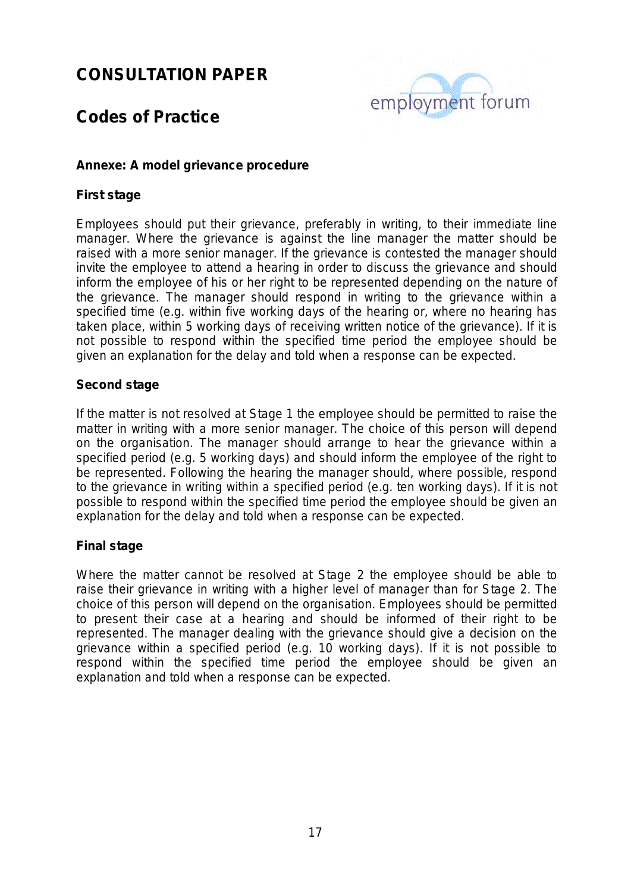

## **Codes of Practice**

#### **Annexe: A model grievance procedure**

#### **First stage**

Employees should put their grievance, preferably in writing, to their immediate line manager. Where the grievance is against the line manager the matter should be raised with a more senior manager. If the grievance is contested the manager should invite the employee to attend a hearing in order to discuss the grievance and should inform the employee of his or her right to be represented depending on the nature of the grievance. The manager should respond in writing to the grievance within a specified time (e.g. within five working days of the hearing or, where no hearing has taken place, within 5 working days of receiving written notice of the grievance). If it is not possible to respond within the specified time period the employee should be given an explanation for the delay and told when a response can be expected.

#### **Second stage**

If the matter is not resolved at Stage 1 the employee should be permitted to raise the matter in writing with a more senior manager. The choice of this person will depend on the organisation. The manager should arrange to hear the grievance within a specified period (e.g. 5 working days) and should inform the employee of the right to be represented. Following the hearing the manager should, where possible, respond to the grievance in writing within a specified period (e.g. ten working days). If it is not possible to respond within the specified time period the employee should be given an explanation for the delay and told when a response can be expected.

#### **Final stage**

Where the matter cannot be resolved at Stage 2 the employee should be able to raise their grievance in writing with a higher level of manager than for Stage 2. The choice of this person will depend on the organisation. Employees should be permitted to present their case at a hearing and should be informed of their right to be represented. The manager dealing with the grievance should give a decision on the grievance within a specified period (e.g. 10 working days). If it is not possible to respond within the specified time period the employee should be given an explanation and told when a response can be expected.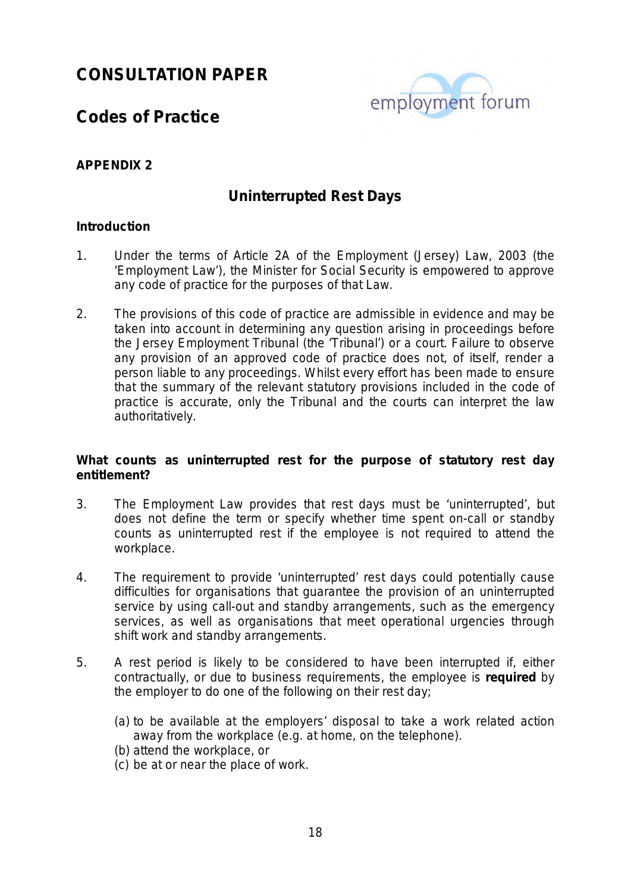

### **Codes of Practice**

#### **APPENDIX 2**

#### **Uninterrupted Rest Days**

#### **Introduction**

- 1. Under the terms of Article 2A of the Employment (Jersey) Law, 2003 (the 'Employment Law'), the Minister for Social Security is empowered to approve any code of practice for the purposes of that Law.
- 2. The provisions of this code of practice are admissible in evidence and may be taken into account in determining any question arising in proceedings before the Jersey Employment Tribunal (the 'Tribunal') or a court. Failure to observe any provision of an approved code of practice does not, of itself, render a person liable to any proceedings. Whilst every effort has been made to ensure that the summary of the relevant statutory provisions included in the code of practice is accurate, only the Tribunal and the courts can interpret the law authoritatively.

#### **What counts as uninterrupted rest for the purpose of statutory rest day entitlement?**

- 3. The Employment Law provides that rest days must be 'uninterrupted', but does not define the term or specify whether time spent on-call or standby counts as uninterrupted rest if the employee is not required to attend the workplace.
- 4. The requirement to provide 'uninterrupted' rest days could potentially cause difficulties for organisations that guarantee the provision of an uninterrupted service by using call-out and standby arrangements, such as the emergency services, as well as organisations that meet operational urgencies through shift work and standby arrangements.
- 5. A rest period is likely to be considered to have been interrupted if, either contractually, or due to business requirements, the employee is **required** by the employer to do one of the following on their rest day;
	- (a) to be available at the employers' disposal to take a work related action away from the workplace (e.g. at home, on the telephone).
	- (b) attend the workplace, or
	- (c) be at or near the place of work.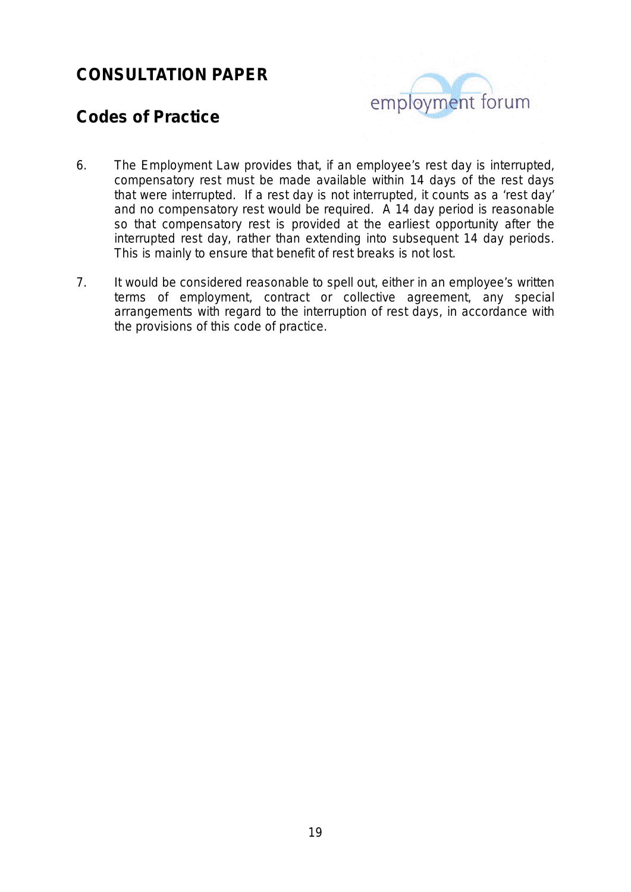

### **Codes of Practice**

- *6.* The Employment Law provides that, if an employee's rest day is interrupted, compensatory rest must be made available within 14 days of the rest days that were interrupted. If a rest day is not interrupted, it counts as a 'rest day' and no compensatory rest would be required*.* A 14 day period is reasonable so that compensatory rest is provided at the earliest opportunity after the interrupted rest day, rather than extending into subsequent 14 day periods. This is mainly to ensure that benefit of rest breaks is not lost.
- 7. It would be considered reasonable to spell out, either in an employee's written terms of employment, contract or collective agreement, any special arrangements with regard to the interruption of rest days, in accordance with the provisions of this code of practice.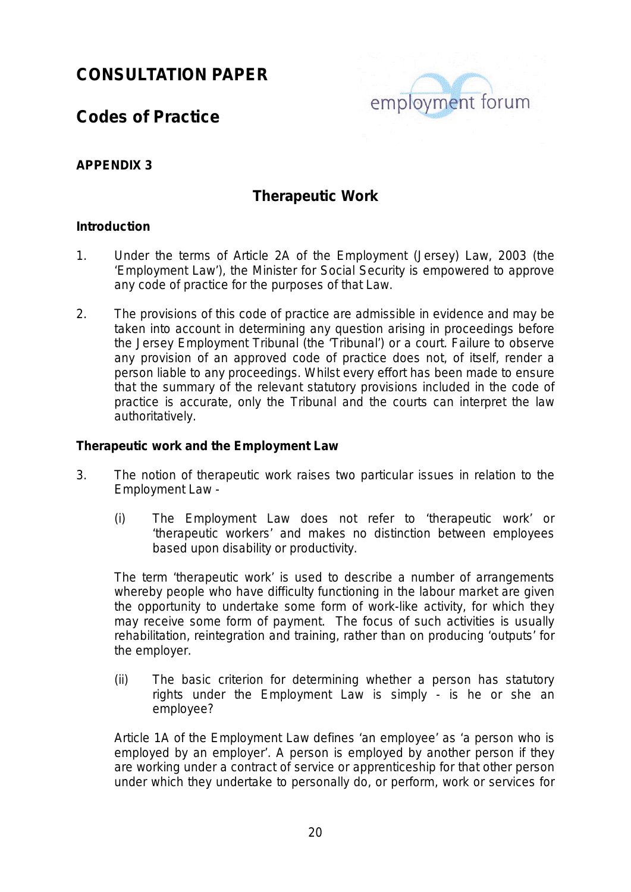

### **Codes of Practice**

#### **APPENDIX 3**

#### **Therapeutic Work**

#### **Introduction**

- 1. Under the terms of Article 2A of the Employment (Jersey) Law, 2003 (the 'Employment Law'), the Minister for Social Security is empowered to approve any code of practice for the purposes of that Law.
- 2. The provisions of this code of practice are admissible in evidence and may be taken into account in determining any question arising in proceedings before the Jersey Employment Tribunal (the 'Tribunal') or a court. Failure to observe any provision of an approved code of practice does not, of itself, render a person liable to any proceedings. Whilst every effort has been made to ensure that the summary of the relevant statutory provisions included in the code of practice is accurate, only the Tribunal and the courts can interpret the law authoritatively.

#### **Therapeutic work and the Employment Law**

- 3. The notion of therapeutic work raises two particular issues in relation to the Employment Law -
	- (i) The Employment Law does not refer to 'therapeutic work' or 'therapeutic workers' and makes no distinction between employees based upon disability or productivity.

The term 'therapeutic work' is used to describe a number of arrangements whereby people who have difficulty functioning in the labour market are given the opportunity to undertake some form of work-like activity, for which they may receive some form of payment. The focus of such activities is usually rehabilitation, reintegration and training, rather than on producing 'outputs' for the employer.

(ii) The basic criterion for determining whether a person has statutory rights under the Employment Law is simply - is he or she an employee?

Article 1A of the Employment Law defines 'an employee' as 'a person who is employed by an employer'. A person is employed by another person if they are working under a contract of service or apprenticeship for that other person under which they undertake to personally do, or perform, work or services for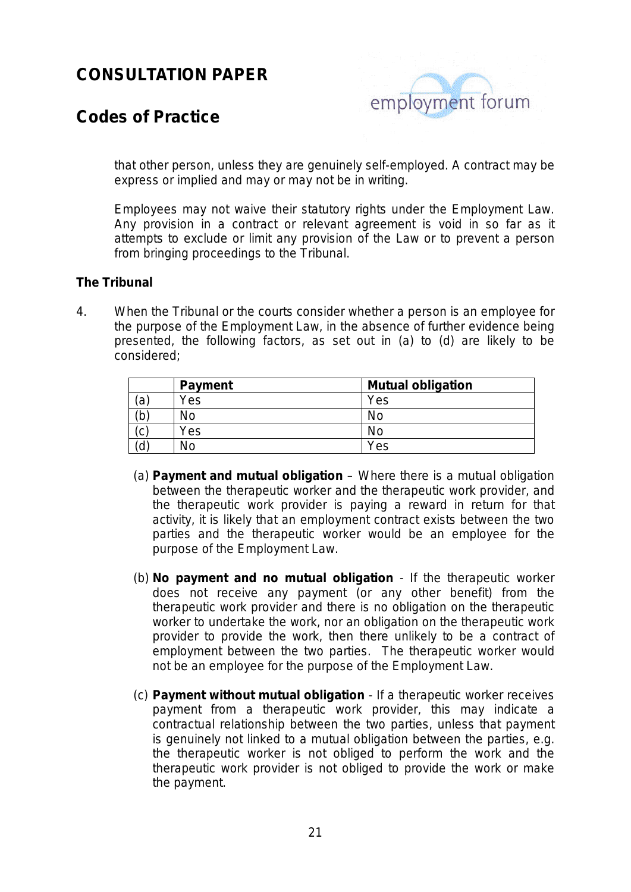

### **Codes of Practice**

that other person, unless they are genuinely self-employed. A contract may be express or implied and may or may not be in writing.

Employees may not waive their statutory rights under the Employment Law. Any provision in a contract or relevant agreement is void in so far as it attempts to exclude or limit any provision of the Law or to prevent a person from bringing proceedings to the Tribunal.

#### **The Tribunal**

4. When the Tribunal or the courts consider whether a person is an employee for the purpose of the Employment Law, in the absence of further evidence being presented, the following factors, as set out in (a) to (d) are likely to be considered;

|    | <b>Payment</b> | <b>Mutual obligation</b> |
|----|----------------|--------------------------|
| ΄a | Yes            | Yes                      |
| 'b | <b>No</b>      | No                       |
| C  | Yes            | No                       |
| ď  | No             | Yes                      |

- (a) **Payment and mutual obligation** Where there is a mutual obligation between the therapeutic worker and the therapeutic work provider, and the therapeutic work provider is paying a reward in return for that activity, it is likely that an employment contract exists between the two parties and the therapeutic worker would be an employee for the purpose of the Employment Law.
- (b) **No payment and no mutual obligation** If the therapeutic worker does not receive any payment (or any other benefit) from the therapeutic work provider and there is no obligation on the therapeutic worker to undertake the work, nor an obligation on the therapeutic work provider to provide the work, then there unlikely to be a contract of employment between the two parties. The therapeutic worker would not be an employee for the purpose of the Employment Law.
- (c) **Payment without mutual obligation** If a therapeutic worker receives payment from a therapeutic work provider, this may indicate a contractual relationship between the two parties, unless that payment is genuinely not linked to a mutual obligation between the parties, e.g. the therapeutic worker is not obliged to perform the work and the therapeutic work provider is not obliged to provide the work or make the payment.